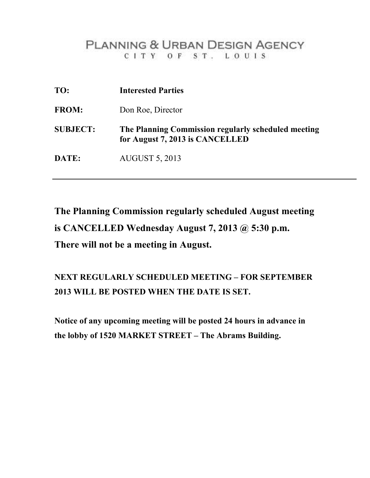## **PLANNING & URBAN DESIGN AGENCY** CITY OF ST. LOUIS

| TO:             | <b>Interested Parties</b>                                                              |
|-----------------|----------------------------------------------------------------------------------------|
| <b>FROM:</b>    | Don Roe, Director                                                                      |
| <b>SUBJECT:</b> | The Planning Commission regularly scheduled meeting<br>for August 7, 2013 is CANCELLED |
| DATE:           | <b>AUGUST 5, 2013</b>                                                                  |

**The Planning Commission regularly scheduled August meeting is CANCELLED Wednesday August 7, 2013 @ 5:30 p.m. There will not be a meeting in August.** 

## **NEXT REGULARLY SCHEDULED MEETING – FOR SEPTEMBER 2013 WILL BE POSTED WHEN THE DATE IS SET.**

**Notice of any upcoming meeting will be posted 24 hours in advance in the lobby of 1520 MARKET STREET – The Abrams Building.**